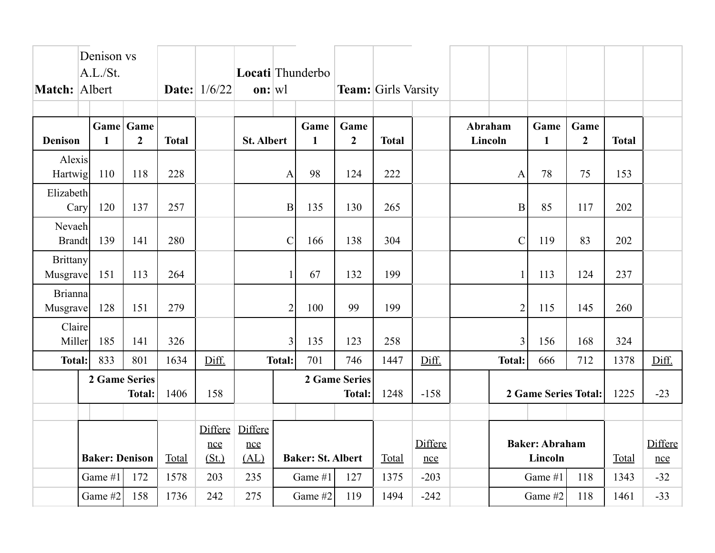|                             | Denison vs<br>A.L./St.<br>Match: Albert |              |                                |                        |       |                   | <b>Date:</b> 1/6/22      | Locati Thunderbo<br>$\mathbf{on}$ :  w |                        |              | <b>Team:</b> Girls Varsity       |                      |                      |                      |                        |              |       |  |
|-----------------------------|-----------------------------------------|--------------|--------------------------------|------------------------|-------|-------------------|--------------------------|----------------------------------------|------------------------|--------------|----------------------------------|----------------------|----------------------|----------------------|------------------------|--------------|-------|--|
| <b>Denison</b>              |                                         | $\mathbf{1}$ | Game Game<br>$\overline{2}$    | <b>Total</b>           |       | <b>St. Albert</b> |                          | Game<br>$\mathbf{1}$                   | Game<br>$\overline{2}$ | <b>Total</b> |                                  | Abraham<br>Lincoln   |                      | Game<br>$\mathbf{1}$ | Game<br>$\overline{2}$ | <b>Total</b> |       |  |
| Alexis<br>Hartwig           |                                         | 110          | 118                            | 228                    |       |                   | A                        | 98                                     | 124                    | 222          |                                  |                      | $\mathbf{A}$         | 78                   | 75                     | 153          |       |  |
| Elizabeth<br>Cary           |                                         | 120          | 137                            | 257                    |       |                   | B                        | 135                                    | 130                    | 265          |                                  |                      | $\mathbf{B}$         | 85                   | 117                    | 202          |       |  |
| Nevaeh<br><b>Brandt</b>     |                                         | 139          | 141                            | 280                    |       |                   | $\mathcal{C}$            | 166                                    | 138                    | 304          |                                  |                      | $\mathcal{C}$        | 119                  | 83                     | 202          |       |  |
| <b>Brittany</b><br>Musgrave |                                         | 151          | 113                            | 264                    |       |                   |                          | 67                                     | 132                    | 199          |                                  |                      | $\mathbf{1}$         | 113                  | 124                    | 237          |       |  |
| <b>Brianna</b><br>Musgrave  |                                         | 128          | 151                            | 279                    |       |                   | $\overline{2}$           | 100                                    | 99                     | 199          |                                  |                      | $\overline{2}$       | 115                  | 145                    | 260          |       |  |
| Claire<br>Miller            |                                         | 185          | 141                            | 326                    |       |                   | 3                        | 135                                    | 123                    | 258          |                                  |                      | $\overline{3}$       | 156                  | 168                    | 324          |       |  |
| <b>Total:</b>               |                                         | 833          | 801                            | 1634                   | Diff. |                   | <b>Total:</b>            | 701                                    | 746                    | 1447         | Diff.                            |                      | <b>Total:</b><br>666 |                      | 712                    | 1378         | Diff. |  |
|                             | <b>2 Game Series</b><br><b>Total:</b>   |              | 1406                           | 158                    |       |                   |                          | <b>2 Game Series</b><br><b>Total:</b>  | 1248                   | $-158$       |                                  | 2 Game Series Total: |                      |                      | 1225                   | $-23$        |       |  |
|                             |                                         |              |                                |                        |       |                   |                          |                                        |                        |              |                                  |                      |                      |                      |                        |              |       |  |
| <b>Baker: Denison</b>       |                                         | Total        | <b>Differe</b><br>nce<br>(St.) | Differe<br>nce<br>(AL) |       |                   | <b>Baker: St. Albert</b> | Total                                  | Differe<br>nce         |              | <b>Baker: Abraham</b><br>Lincoln |                      |                      | Total                | Differe<br>nce         |              |       |  |
|                             | Game #1                                 |              | 172                            | 1578                   | 203   | 235               |                          | Game #1                                | 127                    | 1375         | $-203$                           |                      |                      | Game #1              | 118                    | 1343         | $-32$ |  |
|                             | Game #2                                 |              | 158                            | 1736                   | 242   | 275               |                          | Game #2                                | 119                    | 1494         | $-242$                           |                      |                      | Game #2              | 118                    | 1461         | $-33$ |  |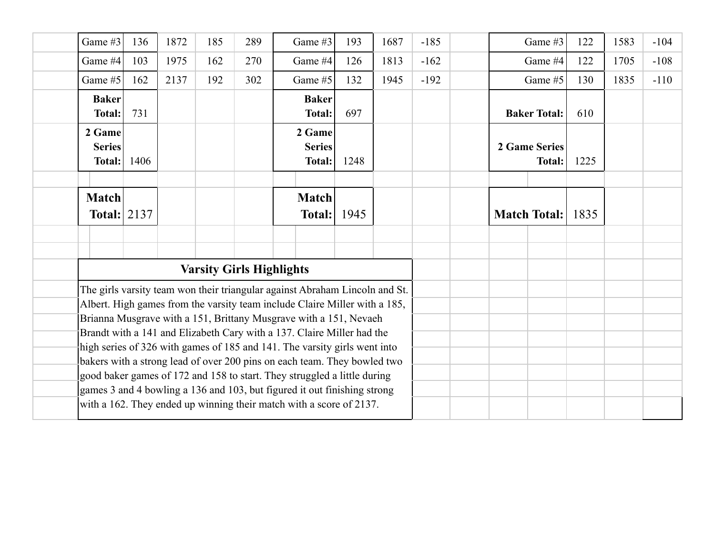| Game #3                           | 136  | 1872 | 185 | 289                             | Game #3                                                                                                                                                                                                                                                                                                                                                                                                                                                                                                                                                                                                                                                                                          | 193  | 1687 | $-185$ | Game #3                        | 122 | 1583 | $-104$ |
|-----------------------------------|------|------|-----|---------------------------------|--------------------------------------------------------------------------------------------------------------------------------------------------------------------------------------------------------------------------------------------------------------------------------------------------------------------------------------------------------------------------------------------------------------------------------------------------------------------------------------------------------------------------------------------------------------------------------------------------------------------------------------------------------------------------------------------------|------|------|--------|--------------------------------|-----|------|--------|
| Game #4                           | 103  | 1975 | 162 | 270                             | Game #4                                                                                                                                                                                                                                                                                                                                                                                                                                                                                                                                                                                                                                                                                          | 126  | 1813 | $-162$ | Game #4                        |     | 1705 | $-108$ |
| Game #5                           | 162  | 2137 | 192 | 302                             | Game #5                                                                                                                                                                                                                                                                                                                                                                                                                                                                                                                                                                                                                                                                                          | 132  | 1945 | $-192$ | Game #5                        |     | 1835 | $-110$ |
| <b>Baker</b><br><b>Total:</b>     | 731  |      |     |                                 | <b>Baker</b><br><b>Total:</b>                                                                                                                                                                                                                                                                                                                                                                                                                                                                                                                                                                                                                                                                    | 697  |      |        | <b>Baker Total:</b>            | 610 |      |        |
| 2 Game<br><b>Series</b><br>Total: | 1406 |      |     |                                 | 2 Game<br><b>Series</b><br>Total:                                                                                                                                                                                                                                                                                                                                                                                                                                                                                                                                                                                                                                                                | 1248 |      |        | 2 Game Series<br><b>Total:</b> |     |      |        |
| <b>Match</b><br>Total: $2137$     |      |      |     |                                 | <b>Match</b><br>Total:                                                                                                                                                                                                                                                                                                                                                                                                                                                                                                                                                                                                                                                                           | 1945 |      |        | <b>Match Total:</b>            |     |      |        |
|                                   |      |      |     |                                 |                                                                                                                                                                                                                                                                                                                                                                                                                                                                                                                                                                                                                                                                                                  |      |      |        |                                |     |      |        |
|                                   |      |      |     | <b>Varsity Girls Highlights</b> |                                                                                                                                                                                                                                                                                                                                                                                                                                                                                                                                                                                                                                                                                                  |      |      |        |                                |     |      |        |
|                                   |      |      |     |                                 | The girls varsity team won their triangular against Abraham Lincoln and St.<br>Albert. High games from the varsity team include Claire Miller with a 185,<br>Brianna Musgrave with a 151, Brittany Musgrave with a 151, Nevaeh<br>Brandt with a 141 and Elizabeth Cary with a 137. Claire Miller had the<br>high series of 326 with games of 185 and 141. The varsity girls went into<br>bakers with a strong lead of over 200 pins on each team. They bowled two<br>good baker games of 172 and 158 to start. They struggled a little during<br>games 3 and 4 bowling a 136 and 103, but figured it out finishing strong<br>with a 162. They ended up winning their match with a score of 2137. |      |      |        |                                |     |      |        |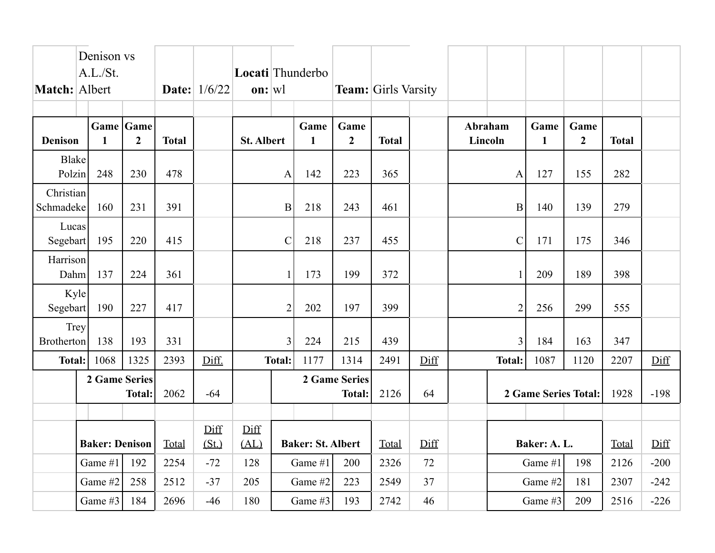|                           | Denison vs<br>A.L./St.<br>Match: Albert |                             |              | <b>Date:</b> 1/6/22 | Locati Thunderbo<br>$\mathbf{on}$ :  wl |                |                          |                                | <b>Team:</b> Girls Varsity |      |                    |                               |              |                        |              |        |
|---------------------------|-----------------------------------------|-----------------------------|--------------|---------------------|-----------------------------------------|----------------|--------------------------|--------------------------------|----------------------------|------|--------------------|-------------------------------|--------------|------------------------|--------------|--------|
| <b>Denison</b>            | $\mathbf{1}$                            | Game Game<br>$\overline{2}$ | <b>Total</b> |                     | <b>St. Albert</b>                       |                | Game<br>$\mathbf{1}$     | Game<br>$\overline{2}$         | <b>Total</b>               |      | Abraham<br>Lincoln |                               | Game<br>1    | Game<br>$\overline{2}$ | <b>Total</b> |        |
| Blake<br>Polzin           | 248                                     | 230                         | 478          |                     | 142<br>$\mathbf{A}$                     |                |                          | 223                            | 365                        |      | $\mathbf{A}$       |                               | 127          | 155                    | 282          |        |
| Christian<br>Schmadeke    | 160                                     | 231                         | 391          |                     |                                         | B              | 218                      | 243                            | 461                        |      |                    | $\mathbf B$                   | 140          | 139                    | 279          |        |
| Lucas<br>Segebart         | 195                                     | 220                         | 415          |                     |                                         | $\mathcal{C}$  |                          | 237                            | 455                        |      |                    | $\mathcal{C}$                 |              | 175                    | 346          |        |
| Harrison<br>Dahm          | 137                                     | 224                         | 361          |                     |                                         | $\mathbf{1}$   |                          | 199                            | 372                        |      | $\mathbf{1}$       |                               | 209          | 189                    | 398          |        |
| Kyle<br>Segebart          | 190                                     | 227                         | 417          |                     |                                         | $\overline{2}$ |                          | 197                            | 399                        |      |                    | $\overline{2}$                |              | 299                    | 555          |        |
| Trey<br><b>Brotherton</b> | 138                                     | 193                         | 331          |                     |                                         | 3              | 224                      | 215                            | 439                        |      |                    | $\overline{3}$<br>184         |              | 163                    | 347          |        |
| <b>Total:</b>             | 1068                                    | 1325                        | 2393         | Diff.               |                                         | <b>Total:</b>  | 1177                     | 1314                           | 2491                       | Diff |                    | 1087<br><b>Total:</b><br>1120 |              | 2207                   | Diff         |        |
|                           | 2 Game Series<br><b>Total:</b>          |                             | 2062         | $-64$               |                                         |                |                          | 2 Game Series<br><b>Total:</b> | 2126                       | 64   |                    | 2 Game Series Total:          |              |                        | 1928         | $-198$ |
|                           |                                         |                             |              |                     |                                         |                |                          |                                |                            |      |                    |                               |              |                        |              |        |
| <b>Baker: Denison</b>     |                                         |                             | Total        | Diff<br>(St.)       | Diff<br>(AL)                            |                | <b>Baker: St. Albert</b> |                                | Total                      | Diff |                    |                               | Baker: A. L. |                        | Total        | Diff   |
| Game #1<br>192            |                                         | 2254                        | $-72$        | 128                 |                                         | Game #1        | 200                      | 2326                           | 72                         |      |                    | Game #1                       | 198          | 2126                   | $-200$       |        |
|                           | Game #2                                 | 258                         | 2512         | $-37$               | 205                                     |                | Game #2                  | 223                            | 2549                       | 37   |                    |                               | Game #2      | 181                    | 2307         | $-242$ |
|                           | Game #3                                 | 184                         | 2696         | $-46$               | 180                                     |                | Game #3                  | 193                            | 2742                       | 46   |                    |                               | Game #3      | 209                    | 2516         | $-226$ |